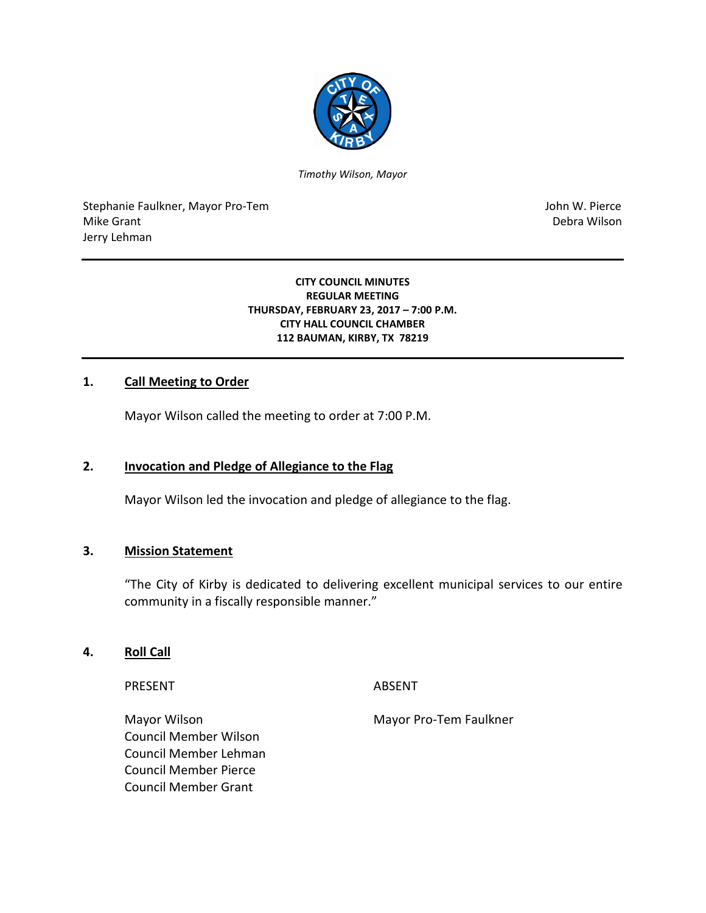

*Timothy Wilson, Mayor*

Stephanie Faulkner, Mayor Pro-Tem John W. Pierce Mike Grant National Accounts and the United States of the United States of the Debra Wilson Jerry Lehman

#### **CITY COUNCIL MINUTES REGULAR MEETING THURSDAY, FEBRUARY 23, 2017 – 7:00 P.M. CITY HALL COUNCIL CHAMBER 112 BAUMAN, KIRBY, TX 78219**

### **1. Call Meeting to Order**

Mayor Wilson called the meeting to order at 7:00 P.M.

### **2. Invocation and Pledge of Allegiance to the Flag**

Mayor Wilson led the invocation and pledge of allegiance to the flag.

### **3. Mission Statement**

"The City of Kirby is dedicated to delivering excellent municipal services to our entire community in a fiscally responsible manner."

### **4. Roll Call**

PRESENT ABSENT

Mayor Wilson Mayor Pro-Tem Faulkner Council Member Wilson Council Member Lehman Council Member Pierce Council Member Grant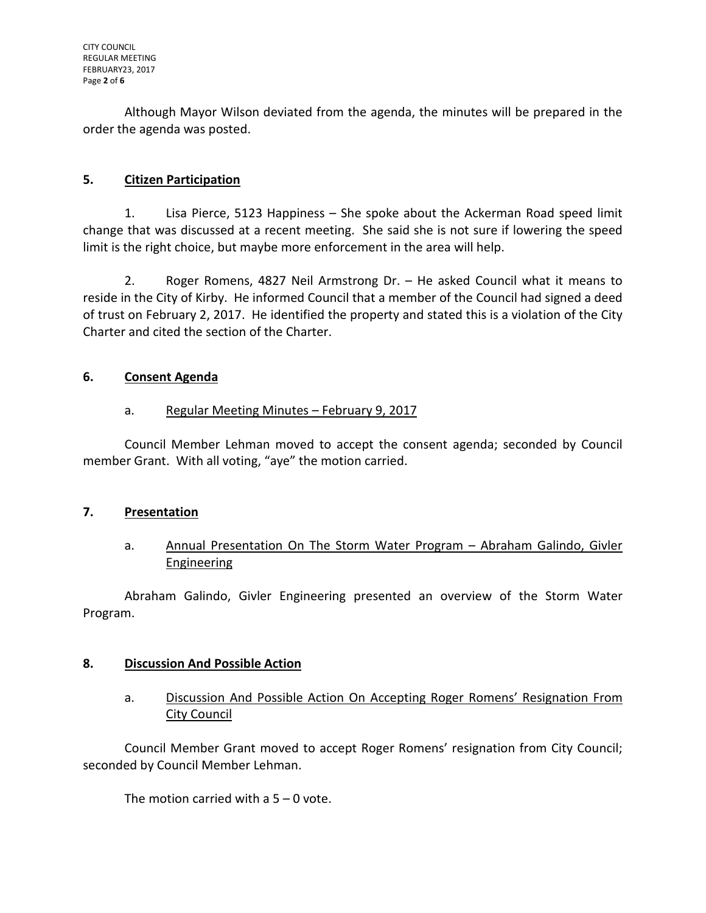Although Mayor Wilson deviated from the agenda, the minutes will be prepared in the order the agenda was posted.

# **5. Citizen Participation**

1. Lisa Pierce, 5123 Happiness – She spoke about the Ackerman Road speed limit change that was discussed at a recent meeting. She said she is not sure if lowering the speed limit is the right choice, but maybe more enforcement in the area will help.

2. Roger Romens, 4827 Neil Armstrong Dr. – He asked Council what it means to reside in the City of Kirby. He informed Council that a member of the Council had signed a deed of trust on February 2, 2017. He identified the property and stated this is a violation of the City Charter and cited the section of the Charter.

## **6. Consent Agenda**

# a. Regular Meeting Minutes – February 9, 2017

Council Member Lehman moved to accept the consent agenda; seconded by Council member Grant. With all voting, "aye" the motion carried.

## **7. Presentation**

# a. Annual Presentation On The Storm Water Program - Abraham Galindo, Givler Engineering

Abraham Galindo, Givler Engineering presented an overview of the Storm Water Program.

## **8. Discussion And Possible Action**

# a. Discussion And Possible Action On Accepting Roger Romens' Resignation From City Council

Council Member Grant moved to accept Roger Romens' resignation from City Council; seconded by Council Member Lehman.

The motion carried with a  $5 - 0$  vote.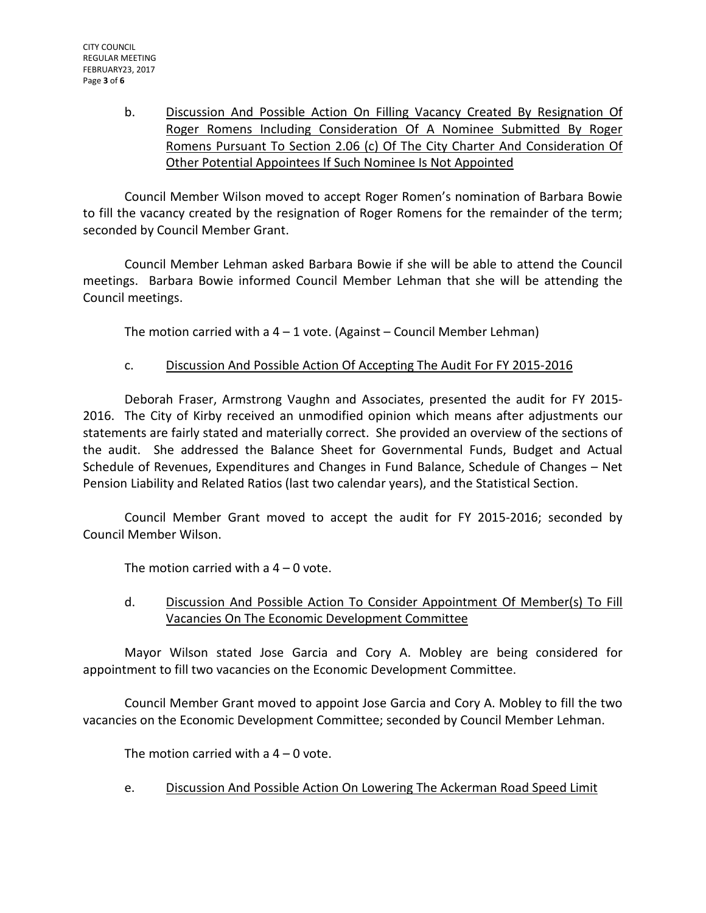b. Discussion And Possible Action On Filling Vacancy Created By Resignation Of Roger Romens Including Consideration Of A Nominee Submitted By Roger Romens Pursuant To Section 2.06 (c) Of The City Charter And Consideration Of Other Potential Appointees If Such Nominee Is Not Appointed

Council Member Wilson moved to accept Roger Romen's nomination of Barbara Bowie to fill the vacancy created by the resignation of Roger Romens for the remainder of the term; seconded by Council Member Grant.

Council Member Lehman asked Barbara Bowie if she will be able to attend the Council meetings. Barbara Bowie informed Council Member Lehman that she will be attending the Council meetings.

The motion carried with a  $4 - 1$  vote. (Against – Council Member Lehman)

## c. Discussion And Possible Action Of Accepting The Audit For FY 2015-2016

Deborah Fraser, Armstrong Vaughn and Associates, presented the audit for FY 2015- 2016. The City of Kirby received an unmodified opinion which means after adjustments our statements are fairly stated and materially correct. She provided an overview of the sections of the audit. She addressed the Balance Sheet for Governmental Funds, Budget and Actual Schedule of Revenues, Expenditures and Changes in Fund Balance, Schedule of Changes – Net Pension Liability and Related Ratios (last two calendar years), and the Statistical Section.

Council Member Grant moved to accept the audit for FY 2015-2016; seconded by Council Member Wilson.

The motion carried with a  $4 - 0$  vote.

# d. Discussion And Possible Action To Consider Appointment Of Member(s) To Fill Vacancies On The Economic Development Committee

Mayor Wilson stated Jose Garcia and Cory A. Mobley are being considered for appointment to fill two vacancies on the Economic Development Committee.

Council Member Grant moved to appoint Jose Garcia and Cory A. Mobley to fill the two vacancies on the Economic Development Committee; seconded by Council Member Lehman.

The motion carried with a  $4 - 0$  vote.

e. Discussion And Possible Action On Lowering The Ackerman Road Speed Limit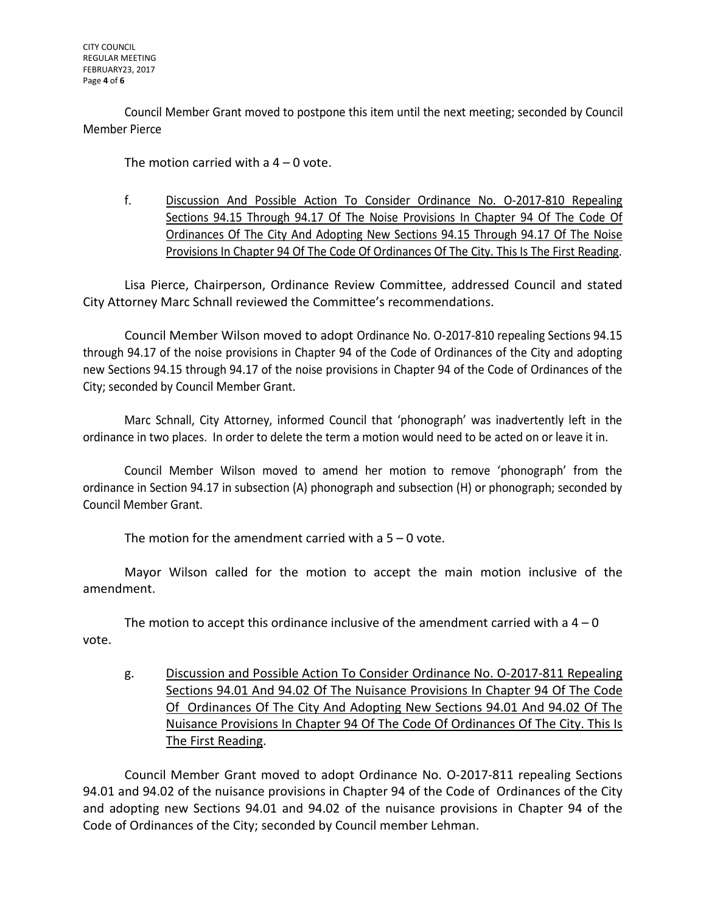Council Member Grant moved to postpone this item until the next meeting; seconded by Council Member Pierce

The motion carried with a  $4 - 0$  vote.

f. Discussion And Possible Action To Consider Ordinance No. O-2017-810 Repealing Sections 94.15 Through 94.17 Of The Noise Provisions In Chapter 94 Of The Code Of Ordinances Of The City And Adopting New Sections 94.15 Through 94.17 Of The Noise Provisions In Chapter 94 Of The Code Of Ordinances Of The City. This Is The First Reading.

Lisa Pierce, Chairperson, Ordinance Review Committee, addressed Council and stated City Attorney Marc Schnall reviewed the Committee's recommendations.

Council Member Wilson moved to adopt Ordinance No. O-2017-810 repealing Sections 94.15 through 94.17 of the noise provisions in Chapter 94 of the Code of Ordinances of the City and adopting new Sections 94.15 through 94.17 of the noise provisions in Chapter 94 of the Code of Ordinances of the City; seconded by Council Member Grant.

Marc Schnall, City Attorney, informed Council that 'phonograph' was inadvertently left in the ordinance in two places. In order to delete the term a motion would need to be acted on or leave it in.

Council Member Wilson moved to amend her motion to remove 'phonograph' from the ordinance in Section 94.17 in subsection (A) phonograph and subsection (H) or phonograph; seconded by Council Member Grant.

The motion for the amendment carried with a  $5 - 0$  vote.

Mayor Wilson called for the motion to accept the main motion inclusive of the amendment.

The motion to accept this ordinance inclusive of the amendment carried with a  $4 - 0$ vote.

g. Discussion and Possible Action To Consider Ordinance No. O-2017-811 Repealing Sections 94.01 And 94.02 Of The Nuisance Provisions In Chapter 94 Of The Code Of Ordinances Of The City And Adopting New Sections 94.01 And 94.02 Of The Nuisance Provisions In Chapter 94 Of The Code Of Ordinances Of The City. This Is The First Reading.

Council Member Grant moved to adopt Ordinance No. O-2017-811 repealing Sections 94.01 and 94.02 of the nuisance provisions in Chapter 94 of the Code of Ordinances of the City and adopting new Sections 94.01 and 94.02 of the nuisance provisions in Chapter 94 of the Code of Ordinances of the City; seconded by Council member Lehman.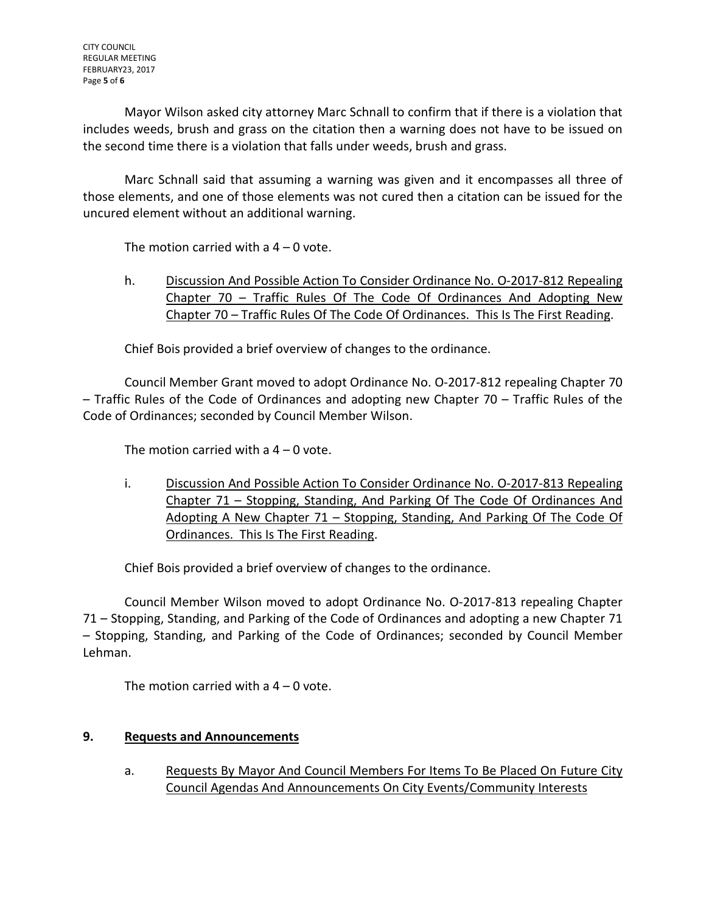Mayor Wilson asked city attorney Marc Schnall to confirm that if there is a violation that includes weeds, brush and grass on the citation then a warning does not have to be issued on the second time there is a violation that falls under weeds, brush and grass.

Marc Schnall said that assuming a warning was given and it encompasses all three of those elements, and one of those elements was not cured then a citation can be issued for the uncured element without an additional warning.

The motion carried with  $a$   $4 - 0$  vote.

h. Discussion And Possible Action To Consider Ordinance No. O-2017-812 Repealing Chapter 70 – Traffic Rules Of The Code Of Ordinances And Adopting New Chapter 70 – Traffic Rules Of The Code Of Ordinances. This Is The First Reading.

Chief Bois provided a brief overview of changes to the ordinance.

Council Member Grant moved to adopt Ordinance No. O-2017-812 repealing Chapter 70 – Traffic Rules of the Code of Ordinances and adopting new Chapter 70 – Traffic Rules of the Code of Ordinances; seconded by Council Member Wilson.

The motion carried with a  $4 - 0$  vote.

i. Discussion And Possible Action To Consider Ordinance No. O-2017-813 Repealing Chapter 71 – Stopping, Standing, And Parking Of The Code Of Ordinances And Adopting A New Chapter 71 - Stopping, Standing, And Parking Of The Code Of Ordinances. This Is The First Reading.

Chief Bois provided a brief overview of changes to the ordinance.

Council Member Wilson moved to adopt Ordinance No. O-2017-813 repealing Chapter 71 – Stopping, Standing, and Parking of the Code of Ordinances and adopting a new Chapter 71 – Stopping, Standing, and Parking of the Code of Ordinances; seconded by Council Member Lehman.

The motion carried with a  $4 - 0$  vote.

## **9. Requests and Announcements**

a. Requests By Mayor And Council Members For Items To Be Placed On Future City Council Agendas And Announcements On City Events/Community Interests